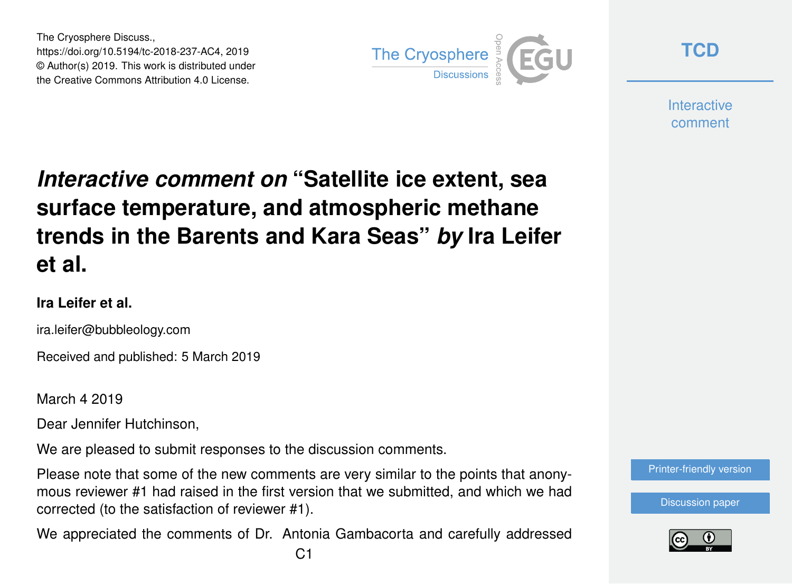The Cryosphere Discuss., https://doi.org/10.5194/tc-2018-237-AC4, 2019 © Author(s) 2019. This work is distributed under the Creative Commons Attribution 4.0 License.



**[TCD](https://www.the-cryosphere-discuss.net/)**

**Interactive** comment

## *Interactive comment on* **"Satellite ice extent, sea surface temperature, and atmospheric methane trends in the Barents and Kara Seas"** *by* **Ira Leifer et al.**

## **Ira Leifer et al.**

ira.leifer@bubbleology.com

Received and published: 5 March 2019

March 4 2019

Dear Jennifer Hutchinson,

We are pleased to submit responses to the discussion comments.

Please note that some of the new comments are very similar to the points that anonymous reviewer #1 had raised in the first version that we submitted, and which we had corrected (to the satisfaction of reviewer #1).

We appreciated the comments of Dr. Antonia Gambacorta and carefully addressed

[Printer-friendly version](https://www.the-cryosphere-discuss.net/tc-2018-237/tc-2018-237-AC4-print.pdf)

[Discussion paper](https://www.the-cryosphere-discuss.net/tc-2018-237)